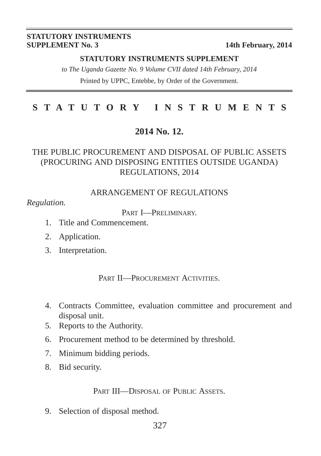#### **STATUTORY INSTRUMENTS SUPPLEMENT No. 3** 14th February, 2014

#### **STATUTORY INSTRUMENTS SUPPLEMENT**

*to The Uganda Gazette No. 9 Volume CVII dated 14th February, 2014* Printed by UPPC, Entebbe, by Order of the Government.

## **STATUTORY INSTRUMENTS**

## **2014 No. 12.**

## THE PUBLIC PROCUREMENT AND DISPOSAL OF PUBLIC ASSETS (PROCURING AND DISPOSING ENTITIES OUTSIDE UGANDA) REGULATIONS, 2014

#### ARRANGEMENT OF REGULATIONS

*Regulation.*

PART **I**-PRELIMINARY

- 1. Title and Commencement.
- 2. Application.
- 3. Interpretation.

PART II—PROCUREMENT ACTIVITIES.

- 4. Contracts Committee, evaluation committee and procurement and disposal unit.
- 5. Reports to the Authority.
- 6. Procurement method to be determined by threshold.
- 7. Minimum bidding periods.
- 8. Bid security.

PART III—DISPOSAL OF PUBLIC ASSETS.

9. Selection of disposal method.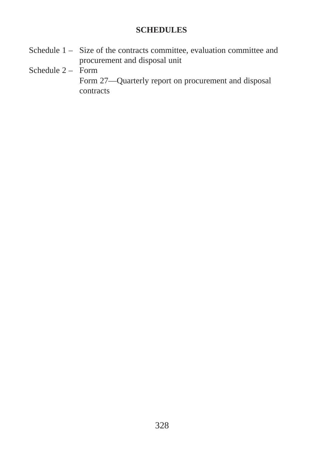### **SCHEDULES**

- Schedule 1 Size of the contracts committee, evaluation committee and procurement and disposal unit
- Schedule  $2$  Form
	- Form 27—Quarterly report on procurement and disposal contracts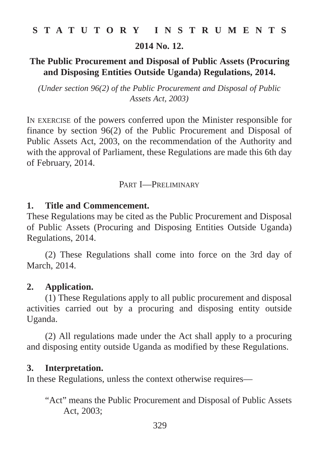**2014 No. 12.**

## **The Public Procurement and Disposal of Public Assets (Procuring and Disposing Entities Outside Uganda) Regulations, 2014.**

*(Under section 96(2) of the Public Procurement and Disposal of Public Assets Act, 2003)*

IN EXERCISE of the powers conferred upon the Minister responsible for finance by section 96(2) of the Public Procurement and Disposal of Public Assets Act, 2003, on the recommendation of the Authority and with the approval of Parliament, these Regulations are made this 6th day of February, 2014.

#### PART I—PRELIMINARY

### **1. Title and Commencement.**

These Regulations may be cited as the Public Procurement and Disposal of Public Assets (Procuring and Disposing Entities Outside Uganda) Regulations, 2014.

(2) These Regulations shall come into force on the 3rd day of March, 2014.

### **2. Application.**

(1) These Regulations apply to all public procurement and disposal activities carried out by a procuring and disposing entity outside Uganda.

(2) All regulations made under the Act shall apply to a procuring and disposing entity outside Uganda as modified by these Regulations.

### **3. Interpretation.**

In these Regulations, unless the context otherwise requires—

"Act" means the Public Procurement and Disposal of Public Assets Act, 2003;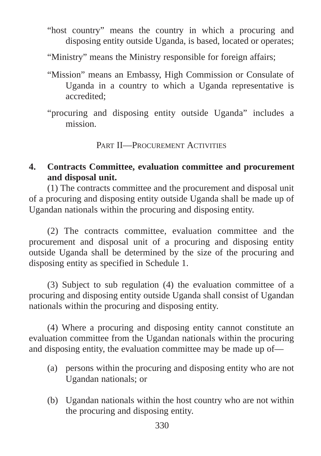"host country" means the country in which a procuring and disposing entity outside Uganda, is based, located or operates;

"Ministry" means the Ministry responsible for foreign affairs;

- "Mission" means an Embassy, High Commission or Consulate of Uganda in a country to which a Uganda representative is accredited;
- "procuring and disposing entity outside Uganda" includes a mission.

PART II—PROCUREMENT ACTIVITIES

## **4. Contracts Committee, evaluation committee and procurement and disposal unit.**

(1) The contracts committee and the procurement and disposal unit of a procuring and disposing entity outside Uganda shall be made up of Ugandan nationals within the procuring and disposing entity.

(2) The contracts committee, evaluation committee and the procurement and disposal unit of a procuring and disposing entity outside Uganda shall be determined by the size of the procuring and disposing entity as specified in Schedule 1.

(3) Subject to sub regulation (4) the evaluation committee of a procuring and disposing entity outside Uganda shall consist of Ugandan nationals within the procuring and disposing entity.

(4) Where a procuring and disposing entity cannot constitute an evaluation committee from the Ugandan nationals within the procuring and disposing entity, the evaluation committee may be made up of—

- (a) persons within the procuring and disposing entity who are not Ugandan nationals; or
- (b) Ugandan nationals within the host country who are not within the procuring and disposing entity.